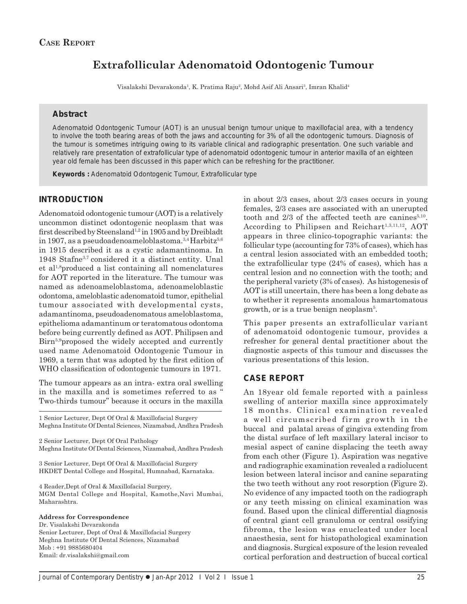# **Extrafollicular Adenomatoid Odontogenic Tumour**

Visalakshi Devarakonda<sup>1</sup>, K. Pratima Raju<sup>2</sup>, Mohd Asif Ali Ansari<sup>3</sup>, Imran Khalid<sup>4</sup>

### **Abstract**

Adenomatoid Odontogenic Tumour (AOT) is an unusual benign tumour unique to maxillofacial area, with a tendency to involve the tooth bearing areas of both the jaws and accounting for 3% of all the odontogenic tumours. Diagnosis of the tumour is sometimes intriguing owing to its variable clinical and radiographic presentation. One such variable and relatively rare presentation of extrafollicular type of adenomatoid odontogenic tumour in anterior maxilla of an eighteen year old female has been discussed in this paper which can be refreshing for the practitioner.

*Keywords :* Adenomatoid Odontogenic Tumour, Extrafollicular type

## **INTRODUCTION**

Adenomatoid odontogenic tumour (AOT) is a relatively uncommon distinct odontogenic neoplasm that was first described by Steensland<sup>1,2</sup> in 1905 and by Dreibladt in 1907, as a pseudoadenoameloblastoma. $3,4$  Harbitz $5,6$ in 1915 described it as a cystic adamantinoma. In 1948 Stafne3,7 considered it a distinct entity. Unal et al1,8produced a list containing all nomenclatures for AOT reported in the literature. The tumour was named as adenoameloblastoma, adenoameloblastic odontoma, ameloblastic adenomatoid tumor, epithelial tumour associated with developmental cysts, adamantinoma, pseudoadenomatous ameloblastoma, epithelioma adamantinum or teratomatous odontoma before being currently defined as AOT. Philipsen and Birn<sup>5,9</sup>proposed the widely accepted and currently used name Adenomatoid Odontogenic Tumour in 1969, a term that was adopted by the first edition of WHO classification of odontogenic tumours in 1971.

The tumour appears as an intra- extra oral swelling in the maxilla and is sometimes referred to as " Two-thirds tumour" because it occurs in the maxilla

1 Senior Lecturer, Dept Of Oral & Maxillofacial Surgery Meghna Institute Of Dental Sciences, Nizamabad, Andhra Pradesh

2 Senior Lecturer, Dept Of Oral Pathology Meghna Institute Of Dental Sciences, Nizamabad, Andhra Pradesh

3 Senior Lecturer, Dept Of Oral & Maxillofacial Surgery HKDET Dental College and Hospital, Humnabad, Karnataka.

4 Reader,Dept of Oral & Maxillofacial Surgery, MGM Dental College and Hospital, Kamothe,Navi Mumbai, Maharashtra.

#### **Address for Correspondence**

Dr. Visalakshi Devarakonda Senior Lecturer, Dept of Oral & Maxillofacial Surgery Meghna Institute Of Dental Sciences, Nizamabad Mob : +91 9885680404 Email: dr.visalakshi@gmail.com

in about 2/3 cases, about 2/3 cases occurs in young females, 2/3 cases are associated with an unerupted tooth and  $2/3$  of the affected teeth are canines<sup>5,10</sup>. According to Philipsen and Reichart<sup>1,3,11,12</sup>, AOT appears in three clinico-topographic variants: the follicular type (accounting for 73% of cases), which has a central lesion associated with an embedded tooth; the extrafollicular type (24% of cases), which has a central lesion and no connection with the tooth; and the peripheral variety (3% of cases). As histogenesis of AOT is still uncertain, there has been a long debate as to whether it represents anomalous hamartomatous growth, or is a true benign neoplasm5 .

This paper presents an extrafollicular variant of adenomatoid odontogenic tumour, provides a refresher for general dental practitioner about the diagnostic aspects of this tumour and discusses the various presentations of this lesion.

## **CASE REPORT**

An 18year old female reported with a painless swelling of anterior maxilla since approximately 18 months. Clinical examination revealed a well circumscribed firm growth in the buccal and palatal areas of gingiva extending from the distal surface of left maxillary lateral incisor to mesial aspect of canine displacing the teeth away from each other (Figure 1). Aspiration was negative and radiographic examination revealed a radiolucent lesion between lateral incisor and canine separating the two teeth without any root resorption (Figure 2). No evidence of any impacted tooth on the radiograph or any teeth missing on clinical examination was found. Based upon the clinical differential diagnosis of central giant cell granuloma or central ossifying fibroma, the lesion was enucleated under local anaesthesia, sent for histopathological examination and diagnosis. Surgical exposure of the lesion revealed cortical perforation and destruction of buccal cortical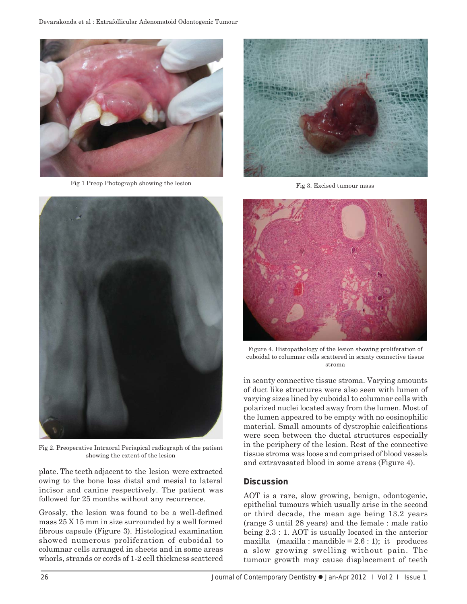

Fig 1 Preop Photograph showing the lesion



Fig 2. Preoperative Intraoral Periapical radiograph of the patient showing the extent of the lesion

plate. The teeth adjacent to the lesion were extracted owing to the bone loss distal and mesial to lateral incisor and canine respectively. The patient was followed for 25 months without any recurrence.

Grossly, the lesion was found to be a well-defined mass 25 X 15 mm in size surrounded by a well formed fibrous capsule (Figure 3). Histological examination showed numerous proliferation of cuboidal to columnar cells arranged in sheets and in some areas whorls, strands or cords of 1-2 cell thickness scattered



Fig 3. Excised tumour mass



Figure 4. Histopathology of the lesion showing proliferation of cuboidal to columnar cells scattered in scanty connective tissue stroma

in scanty connective tissue stroma. Varying amounts of duct like structures were also seen with lumen of varying sizes lined by cuboidal to columnar cells with polarized nuclei located away from the lumen. Most of the lumen appeared to be empty with no eosinophilic material. Small amounts of dystrophic calcifications were seen between the ductal structures especially in the periphery of the lesion. Rest of the connective tissue stroma was loose and comprised of blood vessels and extravasated blood in some areas (Figure 4).

## **Discussion**

AOT is a rare, slow growing, benign, odontogenic, epithelial tumours which usually arise in the second or third decade, the mean age being 13.2 years (range 3 until 28 years) and the female : male ratio being 2.3 : 1. AOT is usually located in the anterior maxilla  $(maxilla : mandible = 2.6 : 1);$  it produces a slow growing swelling without pain. The tumour growth may cause displacement of teeth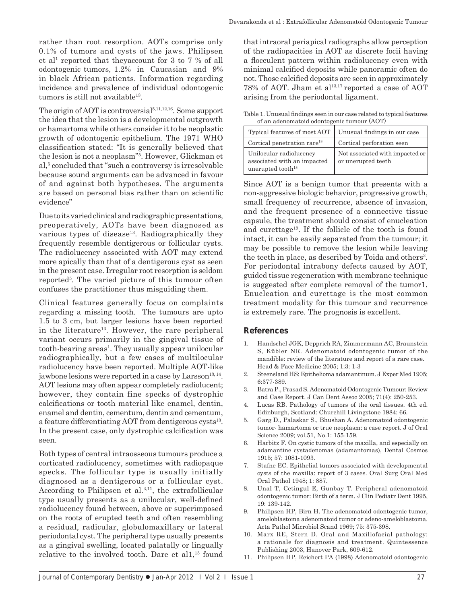rather than root resorption. AOTs comprise only 0.1% of tumors and cysts of the jaws. Philipsen et al<sup>1</sup> reported that theyaccount for 3 to 7 % of all odontogenic tumors, 1.2% in Caucasian and 9% in black African patients. Information regarding incidence and prevalence of individual odontogenic tumors is still not available<sup>13</sup>.

The origin of AOT is controversial<sup>5,11,12,16</sup>. Some support the idea that the lesion is a developmental outgrowth or hamartoma while others consider it to be neoplastic growth of odontogenic epithelium. The 1971 WHO classification stated: "It is generally believed that the lesion is not a neoplasm"5 . However, Glickman et al,<sup>5</sup> concluded that "such a controversy is irresolvable because sound arguments can be advanced in favour of and against both hypotheses. The arguments are based on personal bias rather than on scientific evidence"

Due to its varied clinical and radiographic presentations, preoperatively, AOTs have been diagnosed as various types of disease<sup>13</sup>. Radiographically they frequently resemble dentigerous or follicular cysts. The radiolucency associated with AOT may extend more apically than that of a dentigerous cyst as seen in the present case. Irregular root resorption is seldom reported5 . The varied picture of this tumour often confuses the practitioner thus misguiding them.

Clinical features generally focus on complaints regarding a missing tooth. The tumours are upto 1.5 to 3 cm, but larger lesions have been reported in the literature<sup>13</sup>. However, the rare peripheral variant occurs primarily in the gingival tissue of tooth-bearing areas<sup>1</sup>. They usually appear unilocular radiographically, but a few cases of multilocular radiolucency have been reported. Multiple AOT-like jawbone lesions were reported in a case by Larsson<sup>13, 14</sup>. AOT lesions may often appear completely radiolucent; however, they contain fine specks of dystrophic calcifications or tooth material like enamel, dentin, enamel and dentin, cementum, dentin and cementum, a feature differentiating AOT from dentigerous cysts<sup>13</sup>. In the present case, only dystrophic calcification was seen.

Both types of central intraosseous tumours produce a corticated radiolucency, sometimes with radiopaque specks. The follicular type is usually initially diagnosed as a dentigerous or a follicular cyst. According to Philipsen et al.<sup>3,11</sup>, the extrafollicular type usually presents as a unilocular, well-defined radiolucency found between, above or superimposed on the roots of erupted teeth and often resembling a residual, radicular, globulomaxillary or lateral periodontal cyst. The peripheral type usually presents as a gingival swelling, located palatally or lingually relative to the involved tooth. Dare et al1,<sup>15</sup> found

that intraoral periapical radiographs allow perception of the radiopacities in AOT as discrete focii having a flocculent pattern within radiolucency even with minimal calcified deposits while panoramic often do not. Those calcified deposits are seen in approximately 78% of AOT. Jham et al<sup>13,17</sup> reported a case of AOT arising from the periodontal ligament.

Table 1. Unusual findings seen in our case related to typical features of an adenomatoid odontogenic tumour (AOT)

| Typical features of most AOT                                                            | Unusual findings in our case                          |
|-----------------------------------------------------------------------------------------|-------------------------------------------------------|
| Cortical penetration rare <sup>18</sup>                                                 | Cortical perforation seen                             |
| Unilocular radiolucency<br>associated with an impacted<br>unerupted tooth <sup>18</sup> | Not associated with impacted or<br>or unerupted teeth |

Since AOT is a benign tumor that presents with a non-aggressive biologic behavior, progressive growth, small frequency of recurrence, absence of invasion, and the frequent presence of a connective tissue capsule, the treatment should consist of enucleation and curettage19. If the follicle of the tooth is found intact, it can be easily separated from the tumour; it may be possible to remove the lesion while leaving the teeth in place, as described by Toida and others<sup>3</sup>. For periodontal intrabony defects caused by AOT, guided tissue regeneration with membrane technique is suggested after complete removal of the tumor1. Enucleation and curettage is the most common treatment modality for this tumour and recurrence is extremely rare. The prognosis is excellent.

## **References**

- 1. Handschel JGK, Depprich RA, Zimmermann AC, Braunstein S, Kübler NR. Adenomatoid odontogenic tumor of the mandible: review of the literature and report of a rare case. Head & Face Medicine 2005; 1:3: 1-3
- 2. Steensland HS: Epithelioma adamantinum. J Exper Med 1905; 6:377-389.
- 3. Batra P., Prasad S. Adenomatoid Odontogenic Tumour: Review and Case Report. J Can Dent Assoc 2005; 71(4): 250-253.
- Lucas RB. Pathology of tumors of the oral tissues. 4th ed. Edinburgh, Scotland: Churchill Livingstone 1984: 66.
- 5. Garg D., Palaskar S., Bhushan A. Adenomatoid odontogenic tumor- hamartoma or true neoplasm: a case report. J of Oral Science 2009; vol.51, No.1: 155-159.
- 6. Harbitz F. On cystic tumors of the maxilla, and especially on adamantine cystadenomas (adamantomas), Dental Cosmos 1915; 57: 1081-1093.
- 7. Stafne EC. Epithelial tumors associated with developmental cysts of the maxilla: report of 3 cases. Oral Surg Oral Med Oral Pathol 1948; 1: 887.
- 8. Unal T, Cetingul E, Gunbay T. Peripheral adenomatoid odontogenic tumor: Birth of a term. J Clin Pediatr Dent 1995, 19: 139-142.
- 9. Philipsen HP, Birn H. The adenomatoid odontogenic tumor, ameloblastoma adenomatoid tumor or adeno-ameloblastoma. Acta Pathol Microbiol Scand 1969; 75: 375-398.
- 10. Marx RE, Stern D. Oral and Maxillofacial pathology: a rationale for diagnosis and treatment. Quintessence Publishing 2003, Hanover Park, 609-612.
- 11. Philipsen HP, Reichert PA (1998) Adenomatoid odontogenic